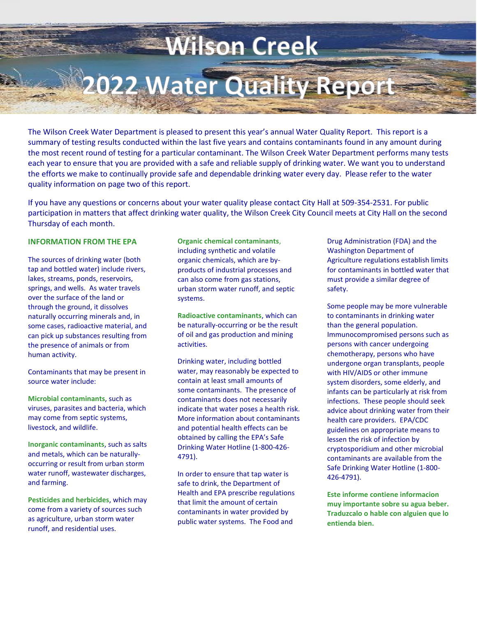

The Wilson Creek Water Department is pleased to present this year's annual Water Quality Report. This report is a summary of testing results conducted within the last five years and contains contaminants found in any amount during the most recent round of testing for a particular contaminant. The Wilson Creek Water Department performs many tests each year to ensure that you are provided with a safe and reliable supply of drinking water. We want you to understand the efforts we make to continually provide safe and dependable drinking water every day. Please refer to the water quality information on page two of this report.

If you have any questions or concerns about your water quality please contact City Hall at 509-354-2531. For public participation in matters that affect drinking water quality, the Wilson Creek City Council meets at City Hall on the second Thursday of each month.

#### **INFORMATION FROM THE EPA**

The sources of drinking water (both tap and bottled water) include rivers, lakes, streams, ponds, reservoirs, springs, and wells. As water travels over the surface of the land or through the ground, it dissolves naturally occurring minerals and, in some cases, radioactive material, and can pick up substances resulting from the presence of animals or from human activity.

Contaminants that may be present in source water include:

**Microbial contaminants**, such as viruses, parasites and bacteria, which may come from septic systems, livestock, and wildlife.

**Inorganic contaminants**, such as salts and metals, which can be naturallyoccurring or result from urban storm water runoff, wastewater discharges, and farming.

**Pesticides and herbicides**, which may come from a variety of sources such as agriculture, urban storm water runoff, and residential uses.

**Organic chemical contaminants**, including synthetic and volatile organic chemicals, which are byproducts of industrial processes and can also come from gas stations, urban storm water runoff, and septic systems.

**Radioactive contaminants**, which can be naturally-occurring or be the result of oil and gas production and mining activities.

Drinking water, including bottled water, may reasonably be expected to contain at least small amounts of some contaminants. The presence of contaminants does not necessarily indicate that water poses a health risk. More information about contaminants and potential health effects can be obtained by calling the EPA's Safe Drinking Water Hotline (1-800-426- 4791).

In order to ensure that tap water is safe to drink, the Department of Health and EPA prescribe regulations that limit the amount of certain contaminants in water provided by public water systems. The Food and

Drug Administration (FDA) and the Washington Department of Agriculture regulations establish limits for contaminants in bottled water that must provide a similar degree of safety.

Some people may be more vulnerable to contaminants in drinking water than the general population. Immunocompromised persons such as persons with cancer undergoing chemotherapy, persons who have undergone organ transplants, people with HIV/AIDS or other immune system disorders, some elderly, and infants can be particularly at risk from infections. These people should seek advice about drinking water from their health care providers. EPA/CDC guidelines on appropriate means to lessen the risk of infection by cryptosporidium and other microbial contaminants are available from the Safe Drinking Water Hotline (1-800- 426-4791).

**Este informe contiene informacion muy importante sobre su agua beber. Traduzcalo o hable con alguien que lo entienda bien.**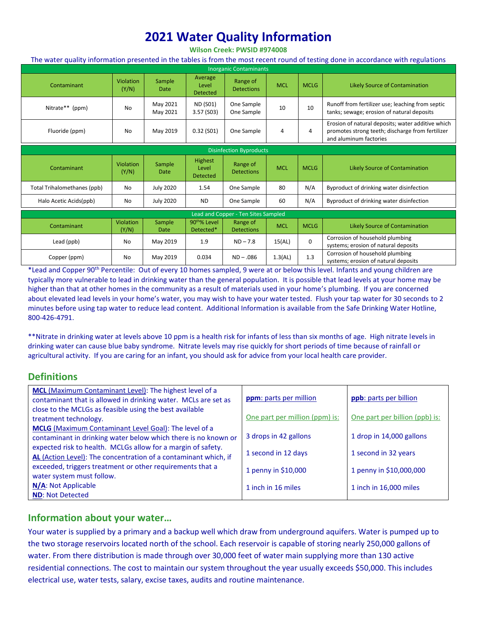# **2021 Water Quality Information**

**Wilson Creek: PWSID #974008**

The water quality information presented in the tables is from the most recent round of testing done in accordance with regulations

| <b>Inorganic Contaminants</b>       |                           |                       |                                            |                               |            |             |                                                                                                                                 |  |  |
|-------------------------------------|---------------------------|-----------------------|--------------------------------------------|-------------------------------|------------|-------------|---------------------------------------------------------------------------------------------------------------------------------|--|--|
| Contaminant                         | <b>Violation</b><br>(Y/N) | Sample<br>Date        | Average<br>Level<br><b>Detected</b>        | Range of<br><b>Detections</b> | <b>MCL</b> | <b>MCLG</b> | Likely Source of Contamination                                                                                                  |  |  |
| Nitrate** (ppm)                     | No                        | May 2021<br>May 2021  | <b>ND (S01)</b><br>3.57 (S03)              | One Sample<br>One Sample      | 10         | 10          | Runoff from fertilizer use; leaching from septic<br>tanks; sewage; erosion of natural deposits                                  |  |  |
| Fluoride (ppm)                      | No                        | May 2019              | 0.32(501)                                  | One Sample                    | 4          | 4           | Erosion of natural deposits; water additive which<br>promotes strong teeth; discharge from fertilizer<br>and aluminum factories |  |  |
| <b>Disinfection Byproducts</b>      |                           |                       |                                            |                               |            |             |                                                                                                                                 |  |  |
| Contaminant                         | Violation<br>(Y/N)        | Sample<br>Date        | <b>Highest</b><br>Level<br><b>Detected</b> | Range of<br><b>Detections</b> | <b>MCL</b> | <b>MCLG</b> | Likely Source of Contamination                                                                                                  |  |  |
| Total Trihalomethanes (ppb)         | No                        | <b>July 2020</b>      | 1.54                                       | One Sample                    | 80         | N/A         | Byproduct of drinking water disinfection                                                                                        |  |  |
| Halo Acetic Acids(ppb)              | No                        | <b>July 2020</b>      | <b>ND</b>                                  | One Sample                    | 60         | N/A         | Byproduct of drinking water disinfection                                                                                        |  |  |
| Lead and Copper - Ten Sites Sampled |                           |                       |                                            |                               |            |             |                                                                                                                                 |  |  |
| Contaminant                         | <b>Violation</b><br>(Y/N) | Sample<br><b>Date</b> | 90 <sup>th%</sup> Level<br>Detected*       | Range of<br><b>Detections</b> | <b>MCL</b> | <b>MCLG</b> | Likely Source of Contamination                                                                                                  |  |  |
| Lead (ppb)                          | No                        | May 2019              | 1.9                                        | $ND - 7.8$                    | 15(AL)     | $\Omega$    | Corrosion of household plumbing<br>systems; erosion of natural deposits                                                         |  |  |
| Copper (ppm)                        | <b>No</b>                 | May 2019              | 0.034                                      | $ND - .086$                   | 1.3(AL)    | 1.3         | Corrosion of household plumbing<br>systems; erosion of natural deposits                                                         |  |  |

\*Lead and Copper 90<sup>th</sup> Percentile: Out of every 10 homes sampled, 9 were at or below this level. Infants and young children are typically more vulnerable to lead in drinking water than the general population. It is possible that lead levels at your home may be higher than that at other homes in the community as a result of materials used in your home's plumbing. If you are concerned about elevated lead levels in your home's water, you may wish to have your water tested. Flush your tap water for 30 seconds to 2 minutes before using tap water to reduce lead content. Additional Information is available from the Safe Drinking Water Hotline, 800-426-4791.

\*\*Nitrate in drinking water at levels above 10 ppm is a health risk for infants of less than six months of age. High nitrate levels in drinking water can cause blue baby syndrome. Nitrate levels may rise quickly for short periods of time because of rainfall or agricultural activity. If you are caring for an infant, you should ask for advice from your local health care provider.

### **Definitions**

| MCL (Maximum Contaminant Level): The highest level of a         |                                |                                |  |
|-----------------------------------------------------------------|--------------------------------|--------------------------------|--|
| contaminant that is allowed in drinking water. MCLs are set as  | ppm: parts per million         | ppb: parts per billion         |  |
| close to the MCLGs as feasible using the best available         |                                |                                |  |
| treatment technology.                                           | One part per million (ppm) is: | One part per billion (ppb) is: |  |
| MCLG (Maximum Contaminant Level Goal): The level of a           |                                |                                |  |
| contaminant in drinking water below which there is no known or  | 3 drops in 42 gallons          | 1 drop in 14,000 gallons       |  |
| expected risk to health. MCLGs allow for a margin of safety.    |                                |                                |  |
| AL (Action Level): The concentration of a contaminant which, if | 1 second in 12 days            | 1 second in 32 years           |  |
| exceeded, triggers treatment or other requirements that a       | 1 penny in \$10,000            | 1 penny in \$10,000,000        |  |
| water system must follow.                                       |                                |                                |  |
| N/A: Not Applicable                                             | 1 inch in 16 miles             | 1 inch in 16,000 miles         |  |
| <b>ND: Not Detected</b>                                         |                                |                                |  |

### **Information about your water…**

Your water is supplied by a primary and a backup well which draw from underground aquifers. Water is pumped up to the two storage reservoirs located north of the school. Each reservoir is capable of storing nearly 250,000 gallons of water. From there distribution is made through over 30,000 feet of water main supplying more than 130 active residential connections. The cost to maintain our system throughout the year usually exceeds \$50,000. This includes electrical use, water tests, salary, excise taxes, audits and routine maintenance.